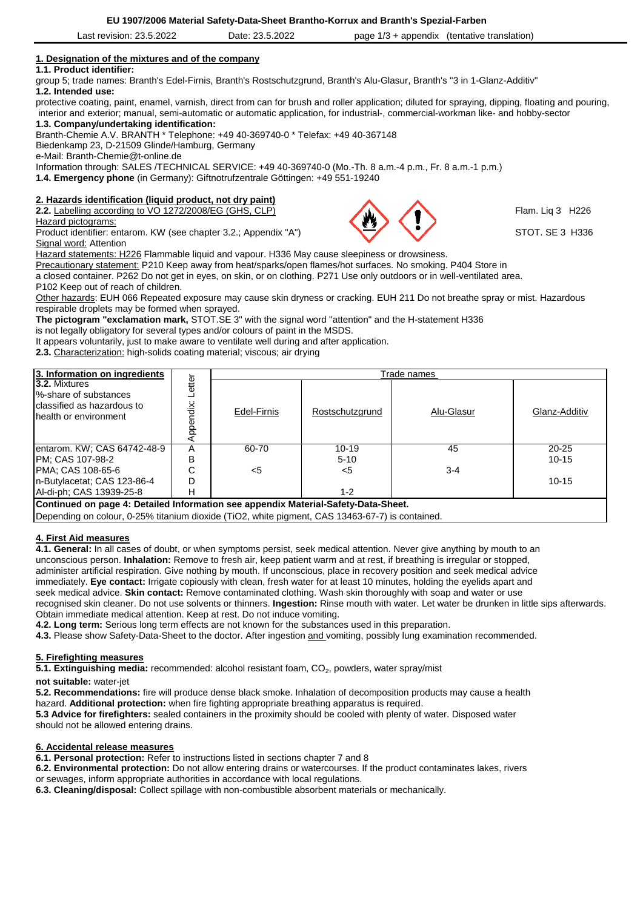| 23.5.2022<br>.ast<br>revision. | - വെറ<br>nn<br>Date:<br>23.5.2022 | page<br>appendix<br>ت ا | (tentative translation) |  |
|--------------------------------|-----------------------------------|-------------------------|-------------------------|--|
|                                |                                   |                         |                         |  |

# **1. Designation of the mixtures and of the company**

## **1.1. Product identifier:**

group 5; trade names: Branth's Edel-Firnis, Branth's Rostschutzgrund, Branth's Alu-Glasur, Branth's "3 in 1-Glanz-Additiv" **1.2. Intended use:** 

protective coating, paint, enamel, varnish, direct from can for brush and roller application; diluted for spraying, dipping, floating and pouring, interior and exterior; manual, semi-automatic or automatic application, for industrial-, commercial-workman like- and hobby-sector

**1.3. Company/undertaking identification:**

Branth-Chemie A.V. BRANTH \* Telephone: +49 40-369740-0 \* Telefax: +49 40-367148

Biedenkamp 23, D-21509 Glinde/Hamburg, Germany

e-Mail: Branth-Chemie@t-online.de

Information through: SALES /TECHNICAL SERVICE: +49 40-369740-0 (Mo.-Th. 8 a.m.-4 p.m., Fr. 8 a.m.-1 p.m.)

**1.4. Emergency phone** (in Germany): Giftnotrufzentrale Göttingen: +49 551-19240

# **2. Hazards identification (liquid product, not dry paint)**

**2.2.** Labelling according to VO 1272/2008/EG (GHS, CLP) Flam. Liq 3 H226

Hazard pictograms:

Product identifier: entarom. KW (see chapter 3.2.; Appendix "A") STOT. SE 3 H336 Signal word: Attention

Hazard statements: H226 Flammable liquid and vapour. H336 May cause sleepiness or drowsiness.

Precautionary statement: P210 Keep away from heat/sparks/open flames/hot surfaces. No smoking. P404 Store in

a closed container. P262 Do not get in eyes, on skin, or on clothing. P271 Use only outdoors or in well-ventilated area.

P102 Keep out of reach of children.

Other hazards: EUH 066 Repeated exposure may cause skin dryness or cracking. EUH 211 Do not breathe spray or mist. Hazardous respirable droplets may be formed when sprayed.

**The pictogram "exclamation mark,** STOT.SE 3" with the signal word "attention" and the H-statement H336 is not legally obligatory for several types and/or colours of paint in the MSDS.

It appears voluntarily, just to make aware to ventilate well during and after application.

**2.3.** Characterization: high-solids coating material; viscous; air drying

| 3. Information on ingredients                                                                           |                         | Trade names |                 |            |               |
|---------------------------------------------------------------------------------------------------------|-------------------------|-------------|-----------------|------------|---------------|
| <b>3.2. Mixtures</b><br>l%-share of substances<br>Iclassified as hazardous to<br>Ihealth or environment | etter<br>ndix:<br>Apper | Edel-Firnis | Rostschutzgrund | Alu-Glasur | Glanz-Additiv |
| entarom. KW; CAS 64742-48-9                                                                             | А                       | 60-70       | $10 - 19$       | 45         | $20 - 25$     |
| <b>PM: CAS 107-98-2</b>                                                                                 | в                       |             | $5 - 10$        |            | $10 - 15$     |
| PMA: CAS 108-65-6                                                                                       | C                       | <5          | <5              | $3 - 4$    |               |
| In-Butylacetat; CAS 123-86-4                                                                            | D                       |             |                 |            | $10 - 15$     |
| Al-di-ph; CAS 13939-25-8                                                                                | Н                       |             | $1 - 2$         |            |               |
| Continued on page 4: Detailed Information see appendix Material-Safety-Data-Sheet.                      |                         |             |                 |            |               |
| Depending on colour, 0-25% titanium dioxide (TiO2, white pigment, CAS 13463-67-7) is contained.         |                         |             |                 |            |               |

## **4. First Aid measures**

**4.1. General:** In all cases of doubt, or when symptoms persist, seek medical attention. Never give anything by mouth to an unconscious person. **Inhalation:** Remove to fresh air, keep patient warm and at rest, if breathing is irregular or stopped, administer artificial respiration. Give nothing by mouth. If unconscious, place in recovery position and seek medical advice immediately. **Eye contact:** Irrigate copiously with clean, fresh water for at least 10 minutes, holding the eyelids apart and seek medical advice. **Skin contact:** Remove contaminated clothing. Wash skin thoroughly with soap and water or use recognised skin cleaner. Do not use solvents or thinners. **Ingestion:** Rinse mouth with water. Let water be drunken in little sips afterwards. Obtain immediate medical attention. Keep at rest. Do not induce vomiting.

**4.2. Long term:** Serious long term effects are not known for the substances used in this preparation.

**4.3.** Please show Safety-Data-Sheet to the doctor. After ingestion and vomiting, possibly lung examination recommended.

## **5. Firefighting measures**

5.1. Extinguishing media: recommended: alcohol resistant foam, CO<sub>2</sub>, powders, water spray/mist

**not suitable:** water-jet

**5.2. Recommendations:** fire will produce dense black smoke. Inhalation of decomposition products may cause a health hazard. **Additional protection:** when fire fighting appropriate breathing apparatus is required.

**5.3 Advice for firefighters:** sealed containers in the proximity should be cooled with plenty of water. Disposed water should not be allowed entering drains.

## **6. Accidental release measures**

**6.1. Personal protection:** Refer to instructions listed in sections chapter 7 and 8

**6.2. Environmental protection:** Do not allow entering drains or watercourses. If the product contaminates lakes, rivers

or sewages, inform appropriate authorities in accordance with local regulations.

**6.3. Cleaning/disposal:** Collect spillage with non-combustible absorbent materials or mechanically.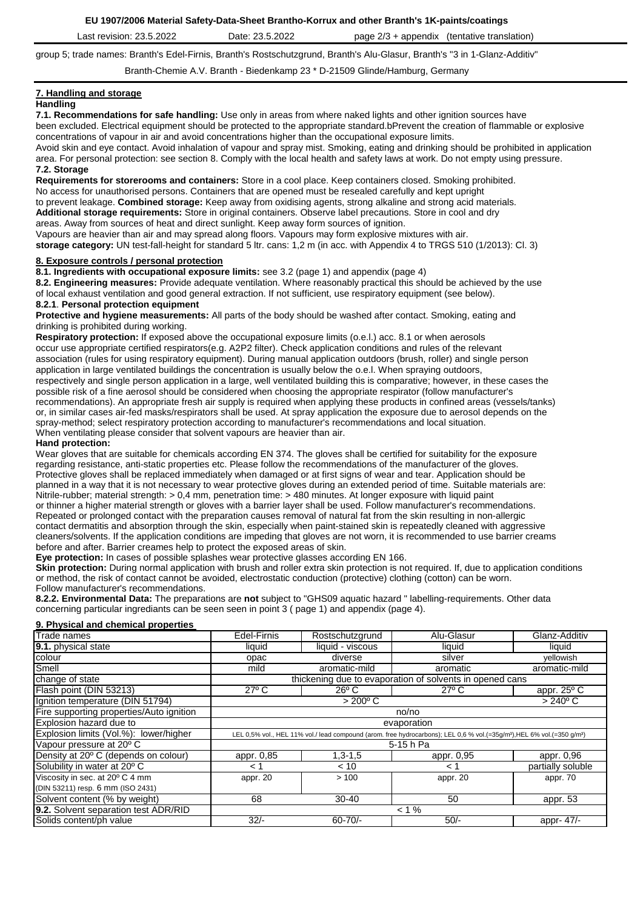**EU 1907/2006 Material Safety-Data-Sheet Brantho-Korrux and other Branth's 1K-paints/coatings**

| .2022<br>ממנ<br>ົ<br>$\overline{\phantom{a}}$<br>יי<br><i>(tentative)</i><br>translation.<br>net.<br>nage<br>appendix<br><b>revision</b><br>Jate<br>wzz<br>-dər<br> |  |
|---------------------------------------------------------------------------------------------------------------------------------------------------------------------|--|
|---------------------------------------------------------------------------------------------------------------------------------------------------------------------|--|

group 5; trade names: Branth's Edel-Firnis, Branth's Rostschutzgrund, Branth's Alu-Glasur, Branth's "3 in 1-Glanz-Additiv"

Branth-Chemie A.V. Branth - Biedenkamp 23 \* D-21509 Glinde/Hamburg, Germany

#### **7. Handling and storage Handling**

**7.1. Recommendations for safe handling:** Use only in areas from where naked lights and other ignition sources have been excluded. Electrical equipment should be protected to the appropriate standard.bPrevent the creation of flammable or explosive concentrations of vapour in air and avoid concentrations higher than the occupational exposure limits. Avoid skin and eye contact. Avoid inhalation of vapour and spray mist. Smoking, eating and drinking should be prohibited in application area. For personal protection: see section 8. Comply with the local health and safety laws at work. Do not empty using pressure.

### **7.2. Storage**

**Requirements for storerooms and containers:** Store in a cool place. Keep containers closed. Smoking prohibited. No access for unauthorised persons. Containers that are opened must be resealed carefully and kept upright to prevent leakage. **Combined storage:** Keep away from oxidising agents, strong alkaline and strong acid materials. **Additional storage requirements:** Store in original containers. Observe label precautions. Store in cool and dry areas. Away from sources of heat and direct sunlight. Keep away form sources of ignition.

Vapours are heavier than air and may spread along floors. Vapours may form explosive mixtures with air. **storage category:** UN test-fall-height for standard 5 ltr. cans: 1,2 m (in acc. with Appendix 4 to TRGS 510 (1/2013): Cl. 3)

## **8. Exposure controls / personal protection**

**8.1. Ingredients with occupational exposure limits:** see 3.2 (page 1) and appendix (page 4)

**8.2. Engineering measures:** Provide adequate ventilation. Where reasonably practical this should be achieved by the use of local exhaust ventilation and good general extraction. If not sufficient, use respiratory equipment (see below).

### **8.2.1**. **Personal protection equipment**

**Protective and hygiene measurements:** All parts of the body should be washed after contact. Smoking, eating and drinking is prohibited during working.

**Respiratory protection:** If exposed above the occupational exposure limits (o.e.l.) acc. 8.1 or when aerosols occur use appropriate certified respirators(e.g. A2P2 filter). Check application conditions and rules of the relevant association (rules for using respiratory equipment). During manual application outdoors (brush, roller) and single person application in large ventilated buildings the concentration is usually below the o.e.l. When spraying outdoors, respectively and single person application in a large, well ventilated building this is comparative; however, in these cases the possible risk of a fine aerosol should be considered when choosing the appropriate respirator (follow manufacturer's recommendations). An appropriate fresh air supply is required when applying these products in confined areas (vessels/tanks) or, in similar cases air-fed masks/respirators shall be used. At spray application the exposure due to aerosol depends on the spray-method; select respiratory protection according to manufacturer's recommendations and local situation. When ventilating please consider that solvent vapours are heavier than air.

## **Hand protection:**

Wear gloves that are suitable for chemicals according EN 374. The gloves shall be certified for suitability for the exposure regarding resistance, anti-static properties etc. Please follow the recommendations of the manufacturer of the gloves. Protective gloves shall be replaced immediately when damaged or at first signs of wear and tear. Application should be planned in a way that it is not necessary to wear protective gloves during an extended period of time. Suitable materials are: Nitrile-rubber; material strength: > 0,4 mm, penetration time: > 480 minutes. At longer exposure with liquid paint or thinner a higher material strength or gloves with a barrier layer shall be used. Follow manufacturer's recommendations. Repeated or prolonged contact with the preparation causes removal of natural fat from the skin resulting in non-allergic contact dermatitis and absorption through the skin, especially when paint-stained skin is repeatedly cleaned with aggressive cleaners/solvents. If the application conditions are impeding that gloves are not worn, it is recommended to use barrier creams before and after. Barrier creames help to protect the exposed areas of skin.

**Eye protection:** In cases of possible splashes wear protective glasses according EN 166.

**Skin protection:** During normal application with brush and roller extra skin protection is not required. If, due to application conditions or method, the risk of contact cannot be avoided, electrostatic conduction (protective) clothing (cotton) can be worn. Follow manufacturer's recommendations.

**8.2.2. Environmental Data:** The preparations are **not** subject to "GHS09 aquatic hazard " labelling-requirements. Other data concerning particular ingrediants can be seen seen in point 3 ( page 1) and appendix (page 4).

### **9. Physical and chemical properties**

| <b>Trade names</b>                       | Edel-Firnis                                                                                                                                     | Rostschutzgrund   | Alu-Glasur        | Glanz-Additiv                                            |  |
|------------------------------------------|-------------------------------------------------------------------------------------------------------------------------------------------------|-------------------|-------------------|----------------------------------------------------------|--|
| 9.1. physical state                      | liquid                                                                                                                                          | liquid - viscous  | liquid            | liquid                                                   |  |
| colour                                   | opac                                                                                                                                            | diverse           | silver            | yellowish                                                |  |
| Smell                                    | mild                                                                                                                                            | aromatic-mild     | aromatic          | aromatic-mild                                            |  |
| change of state                          |                                                                                                                                                 |                   |                   | thickening due to evaporation of solvents in opened cans |  |
| Flash point (DIN 53213)                  | $27^{\circ}$ C                                                                                                                                  | $26^{\circ}$ C    | $27^{\circ}$ C    | appr. $25^{\circ}$ C                                     |  |
| Ignition temperature (DIN 51794)         |                                                                                                                                                 | $> 200^{\circ}$ C | $> 240^{\circ}$ C |                                                          |  |
| Fire supporting properties/Auto ignition | no/no                                                                                                                                           |                   |                   |                                                          |  |
| <b>Explosion hazard due to</b>           | evaporation                                                                                                                                     |                   |                   |                                                          |  |
| Explosion limits (Vol.%): lower/higher   | LEL 0,5% vol., HEL 11% vol./ lead compound (arom. free hydrocarbons); LEL 0,6 % vol.(=35g/m <sup>3</sup> ), HEL 6% vol.(=350 g/m <sup>3</sup> ) |                   |                   |                                                          |  |
| Vapour pressure at 20° C                 | $5-15h$ Pa                                                                                                                                      |                   |                   |                                                          |  |
| Density at 20° C (depends on colour)     | appr. 0,85                                                                                                                                      | $1,3-1,5$         | appr. 0,95        | appr. 0,96                                               |  |
| Solubility in water at 20° C             | < 1                                                                                                                                             | < 10              | 1 >               | partially soluble                                        |  |
| Viscosity in sec. at 20° C 4 mm          | appr. 20                                                                                                                                        | >100              | appr. 20          | appr. 70                                                 |  |
| (DIN 53211) resp. 6 mm (ISO 2431)        |                                                                                                                                                 |                   |                   |                                                          |  |
| Solvent content (% by weight)            | 68                                                                                                                                              | 30-40             | 50                | appr. 53                                                 |  |
| 9.2. Solvent separation test ADR/RID     | $< 1\%$                                                                                                                                         |                   |                   |                                                          |  |
| Solids content/ph value                  | $32/-$                                                                                                                                          | $60 - 70/$        | $50/-$            | appr- $47$                                               |  |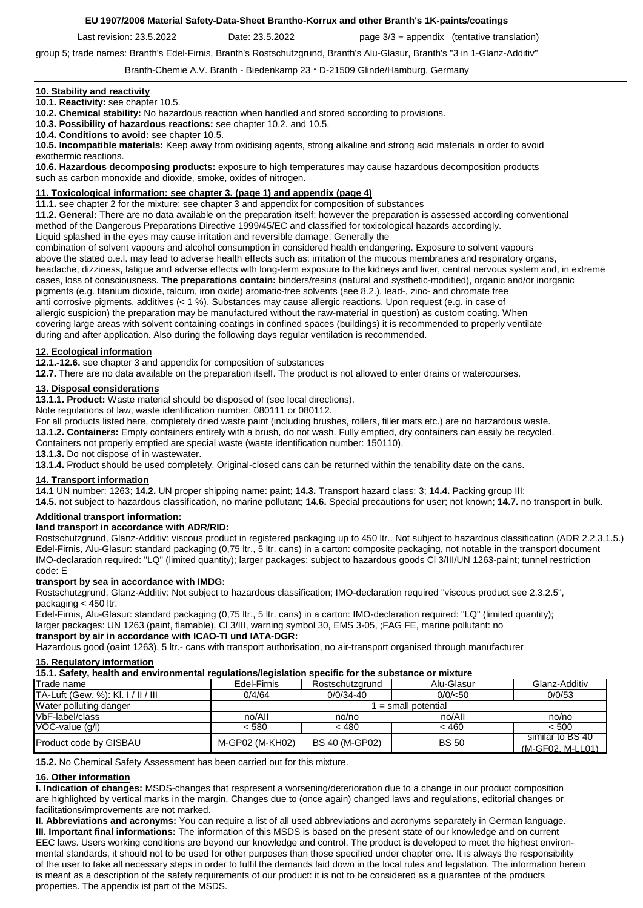### **EU 1907/2006 Material Safety-Data-Sheet Brantho-Korrux and other Branth's 1K-paints/coatings**

Last revision: 23.5.2022 Date: 23.5.2022 page 3/3 + appendix (tentative translation)

group 5; trade names: Branth's Edel-Firnis, Branth's Rostschutzgrund, Branth's Alu-Glasur, Branth's "3 in 1-Glanz-Additiv"

## Branth-Chemie A.V. Branth - Biedenkamp 23 \* D-21509 Glinde/Hamburg, Germany

## **10. Stability and reactivity**

**10.1. Reactivity:** see chapter 10.5.

**10.2. Chemical stability:** No hazardous reaction when handled and stored according to provisions.

**10.3. Possibility of hazardous reactions:** see chapter 10.2. and 10.5.

**10.4. Conditions to avoid:** see chapter 10.5.

**10.5. Incompatible materials:** Keep away from oxidising agents, strong alkaline and strong acid materials in order to avoid exothermic reactions.

**10.6. Hazardous decomposing products:** exposure to high temperatures may cause hazardous decomposition products such as carbon monoxide and dioxide, smoke, oxides of nitrogen.

## **11. Toxicological information: see chapter 3. (page 1) and appendix (page 4)**

**11.1.** see chapter 2 for the mixture; see chapter 3 and appendix for composition of substances

**11.2. General:** There are no data available on the preparation itself; however the preparation is assessed according conventional method of the Dangerous Preparations Directive 1999/45/EC and classified for toxicological hazards accordingly.

Liquid splashed in the eyes may cause irritation and reversible damage. Generally the

combination of solvent vapours and alcohol consumption in considered health endangering. Exposure to solvent vapours above the stated o.e.l. may lead to adverse health effects such as: irritation of the mucous membranes and respiratory organs, headache, dizziness, fatigue and adverse effects with long-term exposure to the kidneys and liver, central nervous system and, in extreme cases, loss of consciousness. **The preparations contain:** binders/resins (natural and systhetic-modified), organic and/or inorganic pigments (e.g. titanium dioxide, talcum, iron oxide) aromatic-free solvents (see 8.2.), lead-, zinc- and chromate free anti corrosive pigments, additives (< 1 %). Substances may cause allergic reactions. Upon request (e.g. in case of allergic suspicion) the preparation may be manufactured without the raw-material in question) as custom coating. When covering large areas with solvent containing coatings in confined spaces (buildings) it is recommended to properly ventilate during and after application. Also during the following days regular ventilation is recommended.

### **12. Ecological information**

**12.1.-12.6.** see chapter 3 and appendix for composition of substances

**12.7.** There are no data available on the preparation itself. The product is not allowed to enter drains or watercourses.

## **13. Disposal considerations**

**13.1.1. Product:** Waste material should be disposed of (see local directions).

Note regulations of law, waste identification number: 080111 or 080112.

For all products listed here, completely dried waste paint (including brushes, rollers, filler mats etc.) are no harzardous waste.

**13.1.2. Containers:** Empty containers entirely with a brush, do not wash. Fully emptied, dry containers can easily be recycled.

Containers not properly emptied are special waste (waste identification number: 150110).

# **13.1.3.** Do not dispose of in wastewater.

**13.1.4.** Product should be used completely. Original-closed cans can be returned within the tenability date on the cans.

## **14. Transport information**

**14.1** UN number: 1263; **14.2.** UN proper shipping name: paint; **14.3.** Transport hazard class: 3; **14.4.** Packing group III;

**14.5.** not subject to hazardous classification, no marine pollutant; **14.6.** Special precautions for user; not known; **14.7.** no transport in bulk.

### **Additional transport information:**

## **land transpor**t **in accordance with ADR/RID:**

Rostschutzgrund, Glanz-Additiv: viscous product in registered packaging up to 450 ltr.. Not subject to hazardous classification (ADR 2.2.3.1.5.) Edel-Firnis, Alu-Glasur: standard packaging (0,75 ltr., 5 ltr. cans) in a carton: composite packaging, not notable in the transport document IMO-declaration required: "LQ" (limited quantity); larger packages: subject to hazardous goods Cl 3/III/UN 1263-paint; tunnel restriction code: E

### **transport by sea in accordance with IMDG:**

Rostschutzgrund, Glanz-Additiv: Not subject to hazardous classification; IMO-declaration required "viscous product see 2.3.2.5", packaging < 450 ltr.

Edel-Firnis, Alu-Glasur: standard packaging (0,75 ltr., 5 ltr. cans) in a carton: IMO-declaration required: "LQ" (limited quantity); larger packages: UN 1263 (paint, flamable), Cl 3/III, warning symbol 30, EMS 3-05, ;FAG FE, marine pollutant: no

### **transport by air in accordance with ICAO-TI und IATA-DGR:**

Hazardous good (oaint 1263), 5 ltr.- cans with transport authorisation, no air-transport organised through manufacturer

### **15. Regulatory information**

**15.1. Safety, health and environmental regulations/legislation specific for the substance or mixture**

| Trade name                         | Edel-Firnis     | Rostschutzarund       | Alu-Glasur        | Glanz-Additiv    |  |
|------------------------------------|-----------------|-----------------------|-------------------|------------------|--|
| TA-Luft (Gew. %): KI. I / II / III | 0/4/64          | $0/0/34 - 40$         | $0/0$ /<50        | 0/0/53           |  |
| Water polluting danger             |                 |                       | = small potential |                  |  |
| VbF-label/class                    | no/All          | no/no                 | no/All            | no/no            |  |
| VOC-value (g/l)                    | < 580           | < 480                 | < 460             | < 500            |  |
| Product code by GISBAU             | M-GP02 (M-KH02) | <b>BS 40 (M-GP02)</b> | <b>BS 50</b>      | similar to BS 40 |  |
|                                    |                 |                       |                   | (M-GF02, M-LL01) |  |

**15.2.** No Chemical Safety Assessment has been carried out for this mixture.

### **16. Other information**

**I. Indication of changes:** MSDS-changes that respresent a worsening/deterioration due to a change in our product composition are highlighted by vertical marks in the margin. Changes due to (once again) changed laws and regulations, editorial changes or facilitations/improvements are not marked.

**II. Abbreviations and acronyms:** You can require a list of all used abbreviations and acronyms separately in German language. **III. Important final informations:** The information of this MSDS is based on the present state of our knowledge and on current EEC laws. Users working conditions are beyond our knowledge and control. The product is developed to meet the highest environmental standards, it should not to be used for other purposes than those specified under chapter one. It is always the responsibility of the user to take all necessary steps in order to fulfil the demands laid down in the local rules and legislation. The information herein is meant as a description of the safety requirements of our product: it is not to be considered as a guarantee of the products properties. The appendix ist part of the MSDS.